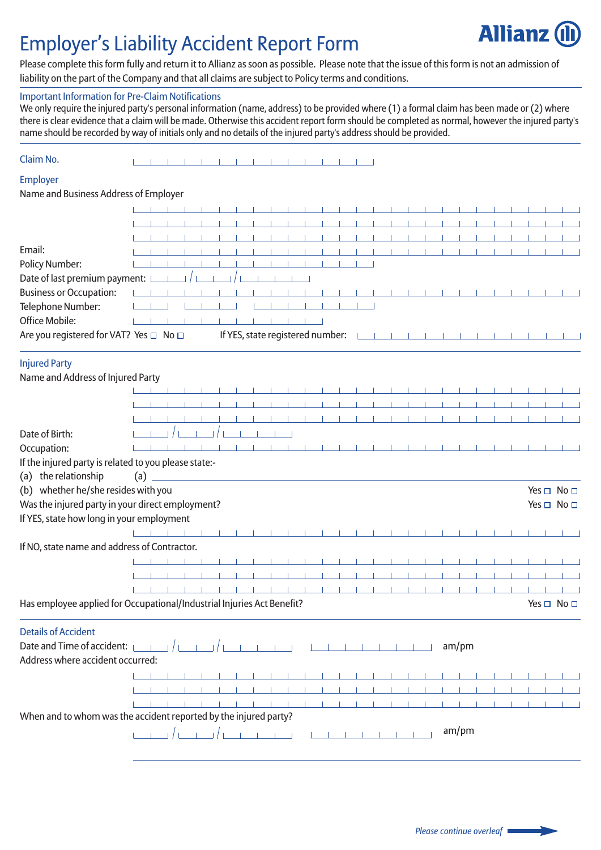## Employer's Liability Accident Report Form



Please complete this form fully and return it to Allianz as soon as possible. Please note that the issue of this form is not an admission of liability on the part of the Company and that all claims are subject to Policy terms and conditions.

## Important Information for Pre-Claim Notifications

We only require the injured party's personal information (name, address) to be provided where (1) a formal claim has been made or (2) where there is clear evidence that a claim will be made. Otherwise this accident report form should be completed as normal, however the injured party's name should be recorded by way of initials only and no details of the injured party's address should be provided.

| Claim No.                                                              |     |                                                                                                                        |                                                                                                                      |                                                                       |  |  |  |                                            |                                                                                           |  |       |  |  |                      |  |
|------------------------------------------------------------------------|-----|------------------------------------------------------------------------------------------------------------------------|----------------------------------------------------------------------------------------------------------------------|-----------------------------------------------------------------------|--|--|--|--------------------------------------------|-------------------------------------------------------------------------------------------|--|-------|--|--|----------------------|--|
| Employer                                                               |     |                                                                                                                        |                                                                                                                      |                                                                       |  |  |  |                                            |                                                                                           |  |       |  |  |                      |  |
| Name and Business Address of Employer                                  |     |                                                                                                                        |                                                                                                                      |                                                                       |  |  |  |                                            |                                                                                           |  |       |  |  |                      |  |
|                                                                        |     |                                                                                                                        |                                                                                                                      |                                                                       |  |  |  |                                            |                                                                                           |  |       |  |  |                      |  |
|                                                                        |     |                                                                                                                        |                                                                                                                      |                                                                       |  |  |  |                                            |                                                                                           |  |       |  |  |                      |  |
|                                                                        |     |                                                                                                                        |                                                                                                                      |                                                                       |  |  |  |                                            |                                                                                           |  |       |  |  |                      |  |
| Email:                                                                 |     |                                                                                                                        |                                                                                                                      |                                                                       |  |  |  | <b>Contract Contract Contract Contract</b> |                                                                                           |  |       |  |  |                      |  |
| <b>Policy Number:</b>                                                  |     |                                                                                                                        |                                                                                                                      |                                                                       |  |  |  |                                            |                                                                                           |  |       |  |  |                      |  |
| Date of last premium payment: I                                        |     |                                                                                                                        |                                                                                                                      |                                                                       |  |  |  |                                            |                                                                                           |  |       |  |  |                      |  |
| <b>Business or Occupation:</b>                                         |     |                                                                                                                        |                                                                                                                      |                                                                       |  |  |  |                                            | The control of the control of the control of the control of the control of the control of |  |       |  |  |                      |  |
| Telephone Number:                                                      |     |                                                                                                                        |                                                                                                                      |                                                                       |  |  |  | $-1$ $-1$ $-1$ $-1$                        |                                                                                           |  |       |  |  |                      |  |
| Office Mobile:                                                         |     |                                                                                                                        |                                                                                                                      |                                                                       |  |  |  |                                            |                                                                                           |  |       |  |  |                      |  |
| Are you registered for VAT? Yes □ No □                                 |     |                                                                                                                        |                                                                                                                      | If YES, state registered number: <u>                             </u> |  |  |  |                                            |                                                                                           |  |       |  |  |                      |  |
| <b>Injured Party</b>                                                   |     |                                                                                                                        |                                                                                                                      |                                                                       |  |  |  |                                            |                                                                                           |  |       |  |  |                      |  |
| Name and Address of Injured Party                                      |     |                                                                                                                        |                                                                                                                      |                                                                       |  |  |  |                                            |                                                                                           |  |       |  |  |                      |  |
|                                                                        |     |                                                                                                                        |                                                                                                                      |                                                                       |  |  |  |                                            |                                                                                           |  |       |  |  |                      |  |
|                                                                        |     |                                                                                                                        |                                                                                                                      |                                                                       |  |  |  |                                            |                                                                                           |  |       |  |  |                      |  |
|                                                                        |     |                                                                                                                        |                                                                                                                      |                                                                       |  |  |  |                                            |                                                                                           |  |       |  |  |                      |  |
| Date of Birth:                                                         |     |                                                                                                                        |                                                                                                                      |                                                                       |  |  |  |                                            |                                                                                           |  |       |  |  |                      |  |
|                                                                        |     |                                                                                                                        |                                                                                                                      |                                                                       |  |  |  |                                            |                                                                                           |  |       |  |  |                      |  |
|                                                                        |     |                                                                                                                        |                                                                                                                      |                                                                       |  |  |  |                                            |                                                                                           |  |       |  |  |                      |  |
| Occupation:                                                            |     |                                                                                                                        |                                                                                                                      |                                                                       |  |  |  |                                            |                                                                                           |  |       |  |  |                      |  |
| If the injured party is related to you please state:-                  |     |                                                                                                                        |                                                                                                                      |                                                                       |  |  |  |                                            |                                                                                           |  |       |  |  |                      |  |
| (a) the relationship                                                   | (a) | <u> 1989 - Johann Barn, mars et al. (b. 1989)</u>                                                                      |                                                                                                                      |                                                                       |  |  |  |                                            |                                                                                           |  |       |  |  |                      |  |
| (b) whether he/she resides with you                                    |     |                                                                                                                        |                                                                                                                      |                                                                       |  |  |  |                                            |                                                                                           |  |       |  |  | Yes □ No □           |  |
| Was the injured party in your direct employment?                       |     |                                                                                                                        |                                                                                                                      |                                                                       |  |  |  |                                            |                                                                                           |  |       |  |  | Yes □ No □           |  |
| If YES, state how long in your employment                              |     |                                                                                                                        |                                                                                                                      |                                                                       |  |  |  |                                            |                                                                                           |  |       |  |  |                      |  |
|                                                                        |     |                                                                                                                        |                                                                                                                      |                                                                       |  |  |  |                                            |                                                                                           |  |       |  |  |                      |  |
| If NO, state name and address of Contractor.                           |     |                                                                                                                        |                                                                                                                      |                                                                       |  |  |  |                                            |                                                                                           |  |       |  |  |                      |  |
|                                                                        |     |                                                                                                                        |                                                                                                                      |                                                                       |  |  |  |                                            |                                                                                           |  |       |  |  |                      |  |
|                                                                        |     |                                                                                                                        |                                                                                                                      |                                                                       |  |  |  |                                            |                                                                                           |  |       |  |  |                      |  |
| Has employee applied for Occupational/Industrial Injuries Act Benefit? |     |                                                                                                                        |                                                                                                                      |                                                                       |  |  |  |                                            |                                                                                           |  |       |  |  | Yes $\Box$ No $\Box$ |  |
| <b>Details of Accident</b>                                             |     |                                                                                                                        |                                                                                                                      |                                                                       |  |  |  |                                            |                                                                                           |  |       |  |  |                      |  |
|                                                                        |     |                                                                                                                        |                                                                                                                      |                                                                       |  |  |  |                                            |                                                                                           |  |       |  |  |                      |  |
| Address where accident occurred:                                       |     |                                                                                                                        |                                                                                                                      |                                                                       |  |  |  |                                            |                                                                                           |  |       |  |  |                      |  |
|                                                                        |     |                                                                                                                        |                                                                                                                      |                                                                       |  |  |  |                                            |                                                                                           |  |       |  |  |                      |  |
|                                                                        |     |                                                                                                                        | <u>. 1919 - 1919 - 1919 - 1919 - 1919 - 1919 - 1919 - 1919 - 1919 - 1919 - 1919 - 1919 - 1919 - 1919 - 1919 - 19</u> |                                                                       |  |  |  |                                            |                                                                                           |  |       |  |  |                      |  |
|                                                                        |     |                                                                                                                        |                                                                                                                      |                                                                       |  |  |  |                                            |                                                                                           |  |       |  |  |                      |  |
|                                                                        |     |                                                                                                                        |                                                                                                                      |                                                                       |  |  |  |                                            |                                                                                           |  |       |  |  |                      |  |
| When and to whom was the accident reported by the injured party?       |     | <u> 1990   1990   1990   1990   1990   1990   1990   1990   1990   1990   1990   1990   1990   1990   1990   1990 </u> |                                                                                                                      |                                                                       |  |  |  |                                            |                                                                                           |  | am/pm |  |  |                      |  |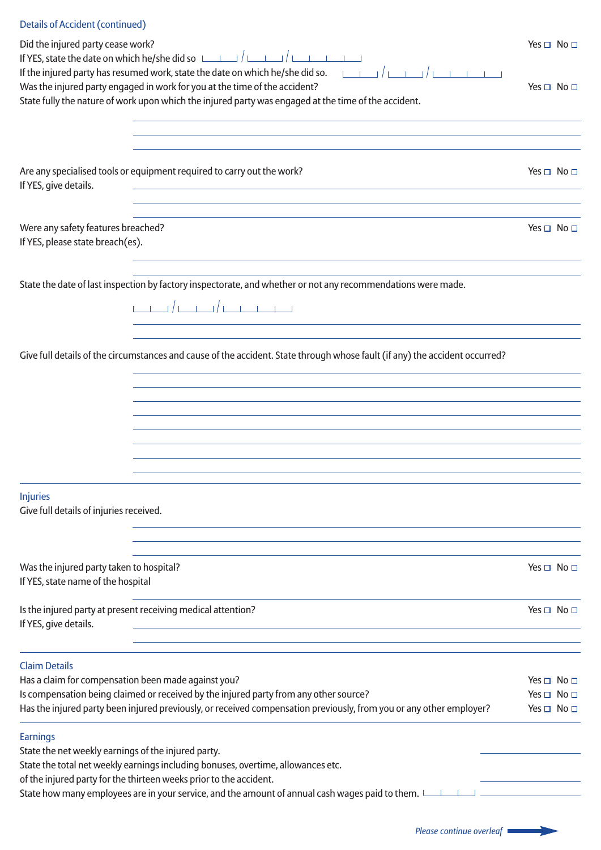| <b>Details of Accident (continued)</b>                                                                                                                                                                                                                                            |                                            |
|-----------------------------------------------------------------------------------------------------------------------------------------------------------------------------------------------------------------------------------------------------------------------------------|--------------------------------------------|
| Did the injured party cease work?<br>If YES, state the date on which he/she did so $\Box$ / $\Box$ / $\Box$                                                                                                                                                                       | Yes $\Box$ No $\Box$                       |
| If the injured party has resumed work, state the date on which he/she did so. $\Box$ $\Box$<br>Was the injured party engaged in work for you at the time of the accident?<br>State fully the nature of work upon which the injured party was engaged at the time of the accident. | Yes $\Box$ No $\Box$                       |
|                                                                                                                                                                                                                                                                                   |                                            |
|                                                                                                                                                                                                                                                                                   |                                            |
| Are any specialised tools or equipment required to carry out the work?<br>If YES, give details.<br>and the state of the state of the state of the state of the state of the state of the                                                                                          | Yes $\Box$ No $\Box$                       |
|                                                                                                                                                                                                                                                                                   |                                            |
| Were any safety features breached?<br>If YES, please state breach(es).                                                                                                                                                                                                            | Yes $\Box$ No $\Box$                       |
| State the date of last inspection by factory inspectorate, and whether or not any recommendations were made.                                                                                                                                                                      |                                            |
|                                                                                                                                                                                                                                                                                   |                                            |
| Give full details of the circumstances and cause of the accident. State through whose fault (if any) the accident occurred?                                                                                                                                                       |                                            |
|                                                                                                                                                                                                                                                                                   |                                            |
|                                                                                                                                                                                                                                                                                   |                                            |
|                                                                                                                                                                                                                                                                                   |                                            |
|                                                                                                                                                                                                                                                                                   |                                            |
|                                                                                                                                                                                                                                                                                   |                                            |
|                                                                                                                                                                                                                                                                                   |                                            |
| <b>Injuries</b><br>Give full details of injuries received.                                                                                                                                                                                                                        |                                            |
|                                                                                                                                                                                                                                                                                   |                                            |
| Was the injured party taken to hospital?<br>If YES, state name of the hospital                                                                                                                                                                                                    | Yes $\Box$ No $\Box$                       |
| Is the injured party at present receiving medical attention?<br>If YES, give details.                                                                                                                                                                                             | Yes $\Box$ No $\Box$                       |
| <b>Claim Details</b>                                                                                                                                                                                                                                                              |                                            |
| Has a claim for compensation been made against you?                                                                                                                                                                                                                               | $Yes \Box No \Box$                         |
| Is compensation being claimed or received by the injured party from any other source?<br>Has the injured party been injured previously, or received compensation previously, from you or any other employer?                                                                      | $Yes \Box No \Box$<br>Yes $\Box$ No $\Box$ |
|                                                                                                                                                                                                                                                                                   |                                            |
| <b>Earnings</b><br>State the net weekly earnings of the injured party.                                                                                                                                                                                                            |                                            |
| State the total net weekly earnings including bonuses, overtime, allowances etc.                                                                                                                                                                                                  |                                            |
| of the injured party for the thirteen weeks prior to the accident.                                                                                                                                                                                                                |                                            |
| In the amount of annual cash wages paid to them. Later the State how many employees are in your service, and the amount of annual cash wages paid to them.                                                                                                                        |                                            |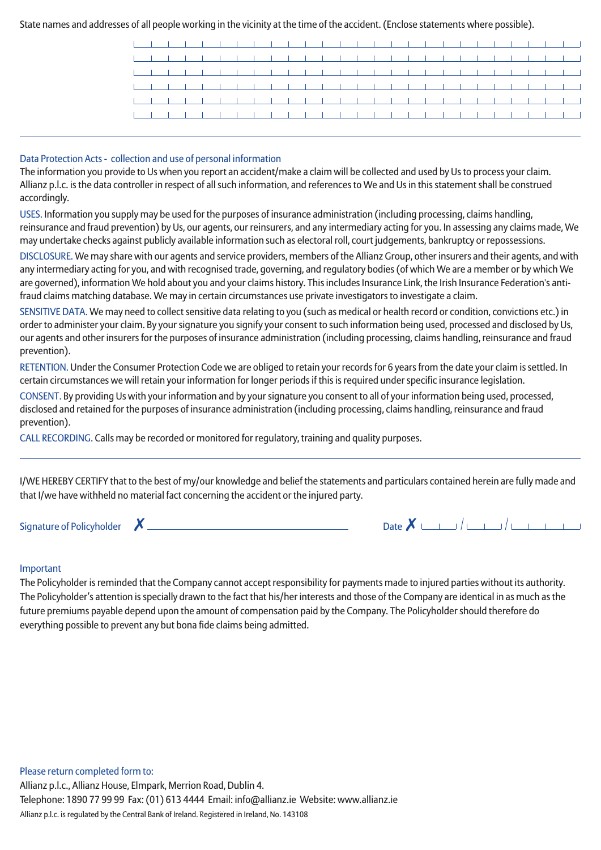State names and addresses of all people working in the vicinity at the time of the accident. (Enclose statements where possible).

## Data Protection Acts - collection and use of personal information

The information you provide to Us when you report an accident/make a claim will be collected and used by Us to process your claim. Allianz p.l.c. is the data controller in respect of all such information, and references to We and Us in this statement shall be construed accordingly.

USES. Information you supply may be used for the purposes of insurance administration (including processing, claims handling, reinsurance and fraud prevention) by Us, our agents, our reinsurers, and any intermediary acting for you. In assessing any claims made, We may undertake checks against publicly available information such as electoral roll, court judgements, bankruptcy or repossessions.

DISCLOSURE. We may share with our agents and service providers, members of the Allianz Group, other insurers and their agents, and with any intermediary acting for you, and with recognised trade, governing, and regulatory bodies (of which We are a member or by which We are governed), information We hold about you and your claims history. This includes Insurance Link, the Irish Insurance Federation's antifraud claims matching database. We may in certain circumstances use private investigators to investigate a claim.

SENSITIVE DATA. We may need to collect sensitive data relating to you (such as medical or health record or condition, convictions etc.) in order to administer your claim. By your signature you signify your consent to such information being used, processed and disclosed by Us, our agents and other insurers for the purposes of insurance administration (including processing, claims handling, reinsurance and fraud prevention).

RETENTION. Under the Consumer Protection Code we are obliged to retain your records for 6 years from the date your claim is settled. In certain circumstances we will retain your information for longer periods if this is required under specific insurance legislation.

CONSENT. By providing Us with your information and by your signature you consent to all of your information being used, processed, disclosed and retained for the purposes of insurance administration (including processing, claims handling, reinsurance and fraud prevention).

CALL RECORDING. Calls may be recorded or monitored for regulatory, training and quality purposes.

I/WE HEREBY CERTIFY that to the best of my/our knowledge and belief the statements and particulars contained herein are fully made and that I/we have withheld no material fact concerning the accident or the injured party.

Signature of Policyholder ✗ Date ✗

## Important

The Policyholder is reminded that the Company cannot accept responsibility for payments made to injured parties without its authority. The Policyholder's attention is specially drawn to the fact that his/her interests and those of the Company are identical in as much as the future premiums payable depend upon the amount of compensation paid by the Company. The Policyholder should therefore do everything possible to prevent any but bona fide claims being admitted.

Please return completed form to: Allianz p.l.c., Allianz House, Elmpark, Merrion Road, Dublin 4. Telephone: 1890 77 99 99 Fax: (01) 613 4444 Email: info@allianz.ie Website: www.allianz.ie Allianz p.l.c. is regulated by the Central Bank of Ireland. Registered in Ireland, No. 143108